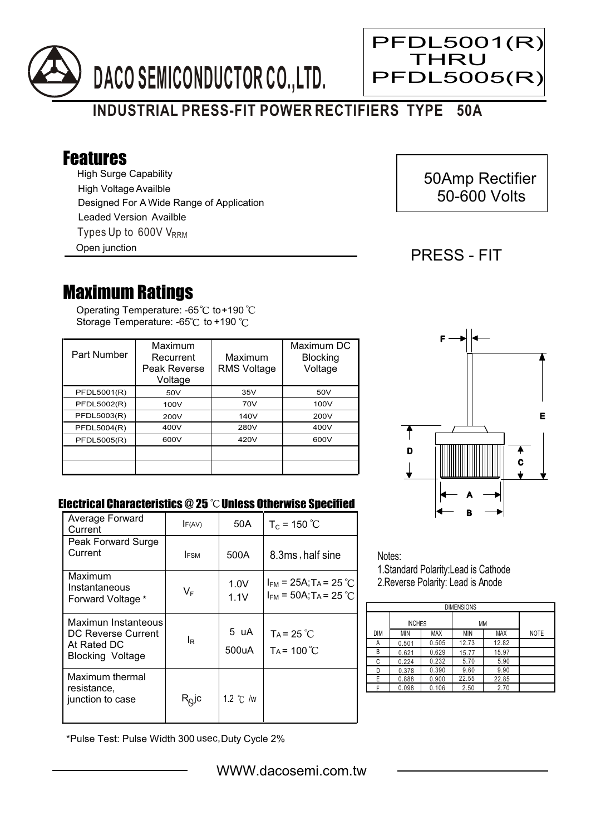

# **INDUSTRIAL PRESS-FIT POWER RECTIFIERS TYPE 50A**

## Features

High Surge Capability Types Up to 600V V<sub>RRM</sub> High Voltage Availble Designed For A Wide Range of Application Leaded Version Availble

Open junction

# 50Amp Rectifier 50-600 Volts

### PRESS - FIT

Ξ

PFDL5001(R) THRU **PFDL5005(R** 

## Maximum Ratings

Operating Temperature: -65 $\degree{\text{C}}$  to+190 Storage Temperature: -65°C to +190 °C

| Part Number | Maximum<br>Recurrent<br>Peak Reverse<br>Voltage | Maximum<br><b>RMS Voltage</b> | Maximum DC<br><b>Blocking</b><br>Voltage |
|-------------|-------------------------------------------------|-------------------------------|------------------------------------------|
| PFDL5001(R) | 50V                                             | 35V                           | 50V                                      |
| PFDL5002(R) | 100V                                            | 70V                           | 100V                                     |
| PFDL5003(R) | 200V                                            | 140V                          | 200V                                     |
| PFDL5004(R) | 400V                                            | 280V                          | 400V                                     |
| PFDL5005(R) | 600V                                            | 420V                          | 600V                                     |
|             |                                                 |                               |                                          |
|             |                                                 |                               |                                          |



#### Electrical Characteristics  $@25$   $^{\circ}\text{C}$  Unless Otherwise Specified

| Average Forward<br>Current                                                          | F(AV)                      | 50A                | $T_c = 150 °C$                                                                   |
|-------------------------------------------------------------------------------------|----------------------------|--------------------|----------------------------------------------------------------------------------|
| Peak Forward Surge<br>Current                                                       | <b>FSM</b>                 | 500A               | 8.3ms, half sine                                                                 |
| Maximum<br>Instantaneous<br>Forward Voltage *                                       | $V_F$                      | 1.0V<br>1.1V       | $I_{FM}$ = 25A; T <sub>A</sub> = 25 °C<br>$I_{FM}$ = 50A; T <sub>A</sub> = 25 °C |
| Maximun Instanteous<br>DC Reverse Current<br>At Rated DC<br><b>Blocking Voltage</b> | le                         | 5 uA<br>500uA      | $Ta = 25 °C$<br>$Ta = 100 °C$                                                    |
| Maximum thermal<br>resistance,<br>junction to case                                  | $\mathsf{R}^\mathsf{Q}$ lc | 1.2 $\degree$ C /w |                                                                                  |

Notes: 1.Standard Polarity:Lead is Cathode

2.Reverse Polarity: Lead is Anode

| <b>DIMENSIONS</b> |               |            |       |            |             |  |  |  |  |
|-------------------|---------------|------------|-------|------------|-------------|--|--|--|--|
|                   | <b>INCHES</b> |            | MM    |            |             |  |  |  |  |
| <b>DIM</b>        | <b>MIN</b>    | <b>MAX</b> | MIN   | <b>MAX</b> | <b>NOTE</b> |  |  |  |  |
| А                 | 0.501         | 0.505      | 12.73 | 12.82      |             |  |  |  |  |
| В                 | 0.621         | 0.629      | 15.77 | 15.97      |             |  |  |  |  |
| С                 | 0.224         | 0.232      | 5.70  | 5.90       |             |  |  |  |  |
| D                 | 0.378         | 0.390      | 9.60  | 9.90       |             |  |  |  |  |
| E                 | 0.888         | 0.900      | 22.55 | 22.85      |             |  |  |  |  |
|                   | 0.098         | 0.106      | 2.50  | 2.70       |             |  |  |  |  |

\*Pulse Test: Pulse Width 300 usec,Duty Cycle 2%